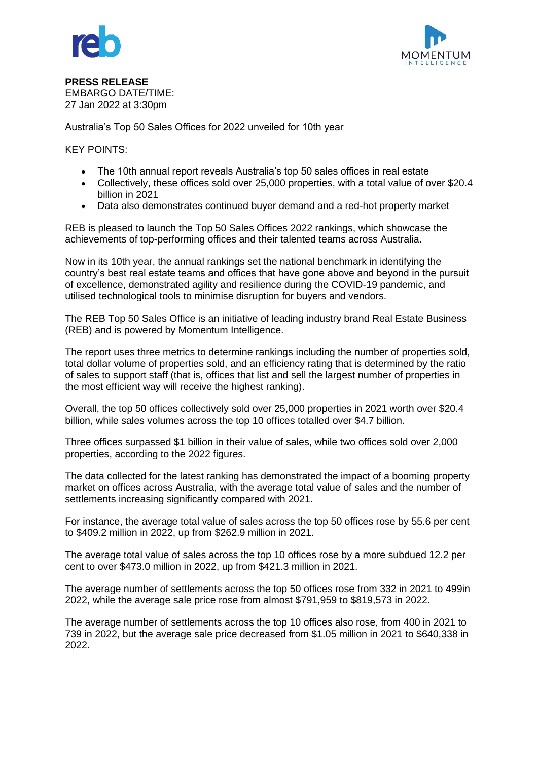



**PRESS RELEASE** EMBARGO DATE/TIME: 27 Jan 2022 at 3:30pm

Australia's Top 50 Sales Offices for 2022 unveiled for 10th year

KEY POINTS:

- The 10th annual report reveals Australia's top 50 sales offices in real estate
- Collectively, these offices sold over 25,000 properties, with a total value of over \$20.4 billion in 2021
- Data also demonstrates continued buyer demand and a red-hot property market

REB is pleased to launch the Top 50 Sales Offices 2022 rankings, which showcase the achievements of top-performing offices and their talented teams across Australia.

Now in its 10th year, the annual rankings set the national benchmark in identifying the country's best real estate teams and offices that have gone above and beyond in the pursuit of excellence, demonstrated agility and resilience during the COVID-19 pandemic, and utilised technological tools to minimise disruption for buyers and vendors.

The REB Top 50 Sales Office is an initiative of leading industry brand Real Estate Business (REB) and is powered by Momentum Intelligence.

The report uses three metrics to determine rankings including the number of properties sold, total dollar volume of properties sold, and an efficiency rating that is determined by the ratio of sales to support staff (that is, offices that list and sell the largest number of properties in the most efficient way will receive the highest ranking).

Overall, the top 50 offices collectively sold over 25,000 properties in 2021 worth over \$20.4 billion, while sales volumes across the top 10 offices totalled over \$4.7 billion.

Three offices surpassed \$1 billion in their value of sales, while two offices sold over 2,000 properties, according to the 2022 figures.

The data collected for the latest ranking has demonstrated the impact of a booming property market on offices across Australia, with the average total value of sales and the number of settlements increasing significantly compared with 2021.

For instance, the average total value of sales across the top 50 offices rose by 55.6 per cent to \$409.2 million in 2022, up from \$262.9 million in 2021.

The average total value of sales across the top 10 offices rose by a more subdued 12.2 per cent to over \$473.0 million in 2022, up from \$421.3 million in 2021.

The average number of settlements across the top 50 offices rose from 332 in 2021 to 499in 2022, while the average sale price rose from almost \$791,959 to \$819,573 in 2022.

The average number of settlements across the top 10 offices also rose, from 400 in 2021 to 739 in 2022, but the average sale price decreased from \$1.05 million in 2021 to \$640,338 in 2022.